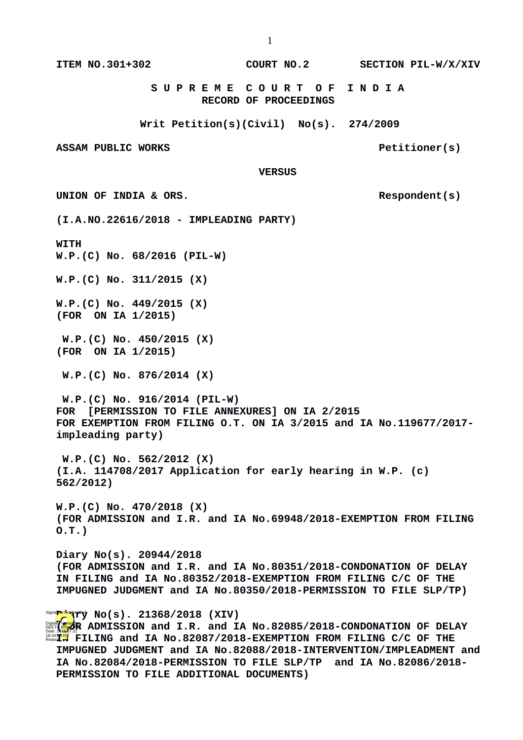**ITEM NO.301+302 COURT NO.2 SECTION PIL-W/X/XIV**

 **S U P R E M E C O U R T O F I N D I A RECORD OF PROCEEDINGS**

**Writ Petition(s)(Civil) No(s). 274/2009**

ASSAM PUBLIC WORKS **PELITIONER** PELITIONER(S)

 **VERSUS**

UNION OF INDIA & ORS.

**(I.A.NO.22616/2018 - IMPLEADING PARTY)**

**WITH**

**W.P.(C) No. 68/2016 (PIL-W)**

**W.P.(C) No. 311/2015 (X)**

**W.P.(C) No. 449/2015 (X) (FOR ON IA 1/2015)**

 **W.P.(C) No. 450/2015 (X) (FOR ON IA 1/2015)**

 **W.P.(C) No. 876/2014 (X)**

 **W.P.(C) No. 916/2014 (PIL-W) FOR [PERMISSION TO FILE ANNEXURES] ON IA 2/2015 FOR EXEMPTION FROM FILING O.T. ON IA 3/2015 and IA No.119677/2017 impleading party)**

 **W.P.(C) No. 562/2012 (X) (I.A. 114708/2017 Application for early hearing in W.P. (c) 562/2012)**

**W.P.(C) No. 470/2018 (X) (FOR ADMISSION and I.R. and IA No.69948/2018-EXEMPTION FROM FILING O.T.)**

**Diary No(s). 20944/2018 (FOR ADMISSION and I.R. and IA No.80351/2018-CONDONATION OF DELAY IN FILING and IA No.80352/2018-EXEMPTION FROM FILING C/C OF THE IMPUGNED JUDGMENT and IA No.80350/2018-PERMISSION TO FILE SLP/TP)** 

**Signa<mark>pper</mark>iery (\* 1916). 21368/2018 (XIV)** 

**Digital <b>For ADMISSION** and I.R. and IA No.82085/2018-CONDONATION OF DELAY **Digital Administration IB34:0<mark>5</mark> FILING and IA No.82087/2018-EXEMPTION FROM FILING C/C OF THE IMPUGNED JUDGMENT and IA No.82088/2018-INTERVENTION/IMPLEADMENT and IA No.82084/2018-PERMISSION TO FILE SLP/TP and IA No.82086/2018- PERMISSION TO FILE ADDITIONAL DOCUMENTS)**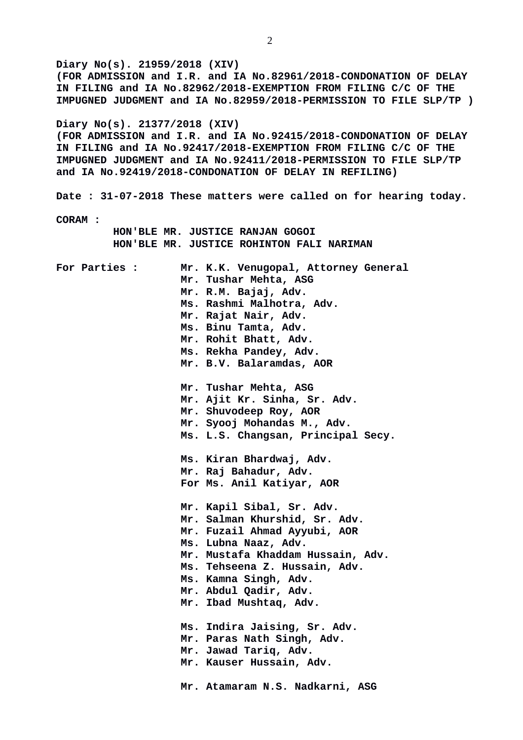**Diary No(s). 21959/2018 (XIV) (FOR ADMISSION and I.R. and IA No.82961/2018-CONDONATION OF DELAY IN FILING and IA No.82962/2018-EXEMPTION FROM FILING C/C OF THE IMPUGNED JUDGMENT and IA No.82959/2018-PERMISSION TO FILE SLP/TP ) Diary No(s). 21377/2018 (XIV) (FOR ADMISSION and I.R. and IA No.92415/2018-CONDONATION OF DELAY IN FILING and IA No.92417/2018-EXEMPTION FROM FILING C/C OF THE IMPUGNED JUDGMENT and IA No.92411/2018-PERMISSION TO FILE SLP/TP and IA No.92419/2018-CONDONATION OF DELAY IN REFILING) Date : 31-07-2018 These matters were called on for hearing today. CORAM : HON'BLE MR. JUSTICE RANJAN GOGOI HON'BLE MR. JUSTICE ROHINTON FALI NARIMAN For Parties : Mr. K.K. Venugopal, Attorney General Mr. Tushar Mehta, ASG Mr. R.M. Bajaj, Adv. Ms. Rashmi Malhotra, Adv. Mr. Rajat Nair, Adv. Ms. Binu Tamta, Adv. Mr. Rohit Bhatt, Adv. Ms. Rekha Pandey, Adv. Mr. B.V. Balaramdas, AOR Mr. Tushar Mehta, ASG Mr. Ajit Kr. Sinha, Sr. Adv. Mr. Shuvodeep Roy, AOR Mr. Syooj Mohandas M., Adv. Ms. L.S. Changsan, Principal Secy. Ms. Kiran Bhardwaj, Adv. Mr. Raj Bahadur, Adv. For Ms. Anil Katiyar, AOR Mr. Kapil Sibal, Sr. Adv. Mr. Salman Khurshid, Sr. Adv. Mr. Fuzail Ahmad Ayyubi, AOR Ms. Lubna Naaz, Adv. Mr. Mustafa Khaddam Hussain, Adv. Ms. Tehseena Z. Hussain, Adv. Ms. Kamna Singh, Adv. Mr. Abdul Qadir, Adv. Mr. Ibad Mushtaq, Adv. Ms. Indira Jaising, Sr. Adv. Mr. Paras Nath Singh, Adv. Mr. Jawad Tariq, Adv. Mr. Kauser Hussain, Adv. Mr. Atamaram N.S. Nadkarni, ASG**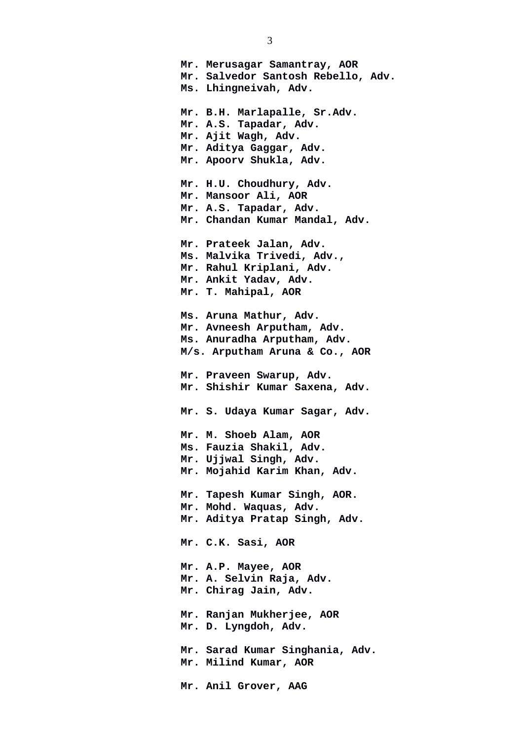**Mr. Merusagar Samantray, AOR Mr. Salvedor Santosh Rebello, Adv. Ms. Lhingneivah, Adv. Mr. B.H. Marlapalle, Sr.Adv. Mr. A.S. Tapadar, Adv. Mr. Ajit Wagh, Adv. Mr. Aditya Gaggar, Adv. Mr. Apoorv Shukla, Adv. Mr. H.U. Choudhury, Adv. Mr. Mansoor Ali, AOR Mr. A.S. Tapadar, Adv. Mr. Chandan Kumar Mandal, Adv. Mr. Prateek Jalan, Adv. Ms. Malvika Trivedi, Adv., Mr. Rahul Kriplani, Adv. Mr. Ankit Yadav, Adv. Mr. T. Mahipal, AOR Ms. Aruna Mathur, Adv. Mr. Avneesh Arputham, Adv. Ms. Anuradha Arputham, Adv. M/s. Arputham Aruna & Co., AOR Mr. Praveen Swarup, Adv. Mr. Shishir Kumar Saxena, Adv. Mr. S. Udaya Kumar Sagar, Adv. Mr. M. Shoeb Alam, AOR Ms. Fauzia Shakil, Adv. Mr. Ujjwal Singh, Adv. Mr. Mojahid Karim Khan, Adv. Mr. Tapesh Kumar Singh, AOR. Mr. Mohd. Waquas, Adv. Mr. Aditya Pratap Singh, Adv. Mr. C.K. Sasi, AOR Mr. A.P. Mayee, AOR Mr. A. Selvin Raja, Adv. Mr. Chirag Jain, Adv. Mr. Ranjan Mukherjee, AOR Mr. D. Lyngdoh, Adv. Mr. Sarad Kumar Singhania, Adv. Mr. Milind Kumar, AOR Mr. Anil Grover, AAG**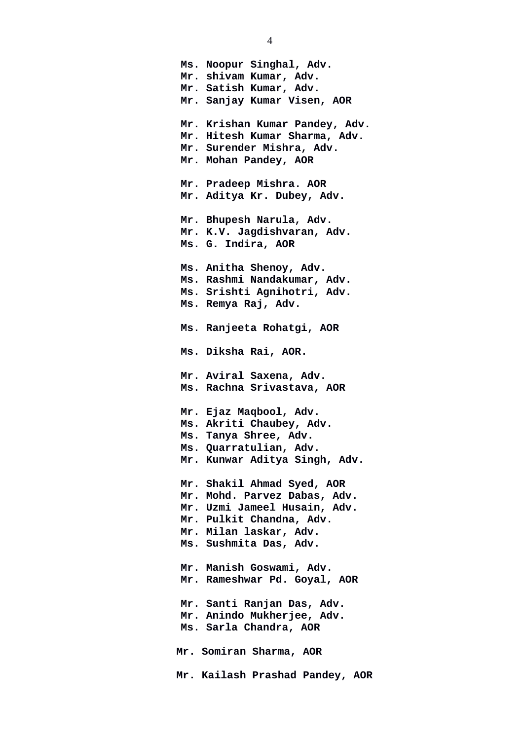**Ms. Noopur Singhal, Adv. Mr. shivam Kumar, Adv. Mr. Satish Kumar, Adv. Mr. Sanjay Kumar Visen, AOR Mr. Krishan Kumar Pandey, Adv. Mr. Hitesh Kumar Sharma, Adv. Mr. Surender Mishra, Adv. Mr. Mohan Pandey, AOR Mr. Pradeep Mishra. AOR Mr. Aditya Kr. Dubey, Adv. Mr. Bhupesh Narula, Adv. Mr. K.V. Jagdishvaran, Adv. Ms. G. Indira, AOR Ms. Anitha Shenoy, Adv. Ms. Rashmi Nandakumar, Adv. Ms. Srishti Agnihotri, Adv. Ms. Remya Raj, Adv. Ms. Ranjeeta Rohatgi, AOR Ms. Diksha Rai, AOR. Mr. Aviral Saxena, Adv. Ms. Rachna Srivastava, AOR Mr. Ejaz Maqbool, Adv. Ms. Akriti Chaubey, Adv. Ms. Tanya Shree, Adv. Ms. Quarratulian, Adv. Mr. Kunwar Aditya Singh, Adv. Mr. Shakil Ahmad Syed, AOR Mr. Mohd. Parvez Dabas, Adv. Mr. Uzmi Jameel Husain, Adv. Mr. Pulkit Chandna, Adv. Mr. Milan laskar, Adv. Ms. Sushmita Das, Adv. Mr. Manish Goswami, Adv. Mr. Rameshwar Pd. Goyal, AOR Mr. Santi Ranjan Das, Adv. Mr. Anindo Mukherjee, Adv. Ms. Sarla Chandra, AOR Mr. Somiran Sharma, AOR Mr. Kailash Prashad Pandey, AOR**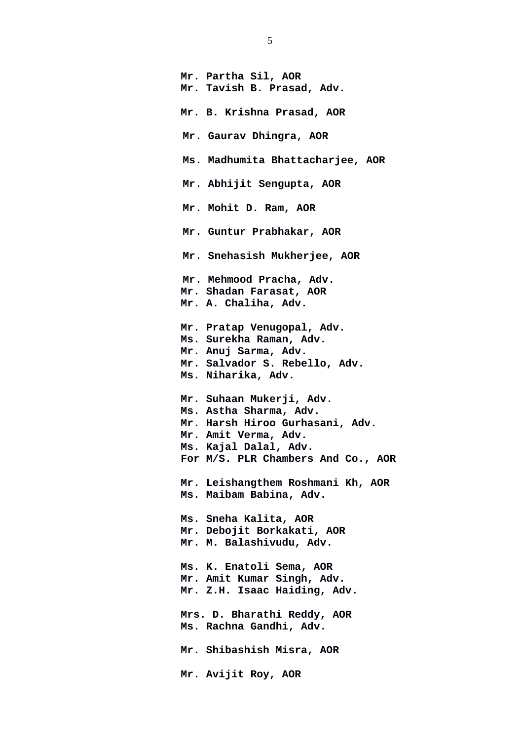**Mr. Partha Sil, AOR Mr. Tavish B. Prasad, Adv. Mr. B. Krishna Prasad, AOR Mr. Gaurav Dhingra, AOR Ms. Madhumita Bhattacharjee, AOR Mr. Abhijit Sengupta, AOR Mr. Mohit D. Ram, AOR Mr. Guntur Prabhakar, AOR Mr. Snehasish Mukherjee, AOR Mr. Mehmood Pracha, Adv. Mr. Shadan Farasat, AOR Mr. A. Chaliha, Adv. Mr. Pratap Venugopal, Adv. Ms. Surekha Raman, Adv. Mr. Anuj Sarma, Adv. Mr. Salvador S. Rebello, Adv. Ms. Niharika, Adv. Mr. Suhaan Mukerji, Adv. Ms. Astha Sharma, Adv. Mr. Harsh Hiroo Gurhasani, Adv. Mr. Amit Verma, Adv. Ms. Kajal Dalal, Adv. For M/S. PLR Chambers And Co., AOR Mr. Leishangthem Roshmani Kh, AOR Ms. Maibam Babina, Adv. Ms. Sneha Kalita, AOR Mr. Debojit Borkakati, AOR Mr. M. Balashivudu, Adv. Ms. K. Enatoli Sema, AOR Mr. Amit Kumar Singh, Adv. Mr. Z.H. Isaac Haiding, Adv. Mrs. D. Bharathi Reddy, AOR Ms. Rachna Gandhi, Adv. Mr. Shibashish Misra, AOR Mr. Avijit Roy, AOR**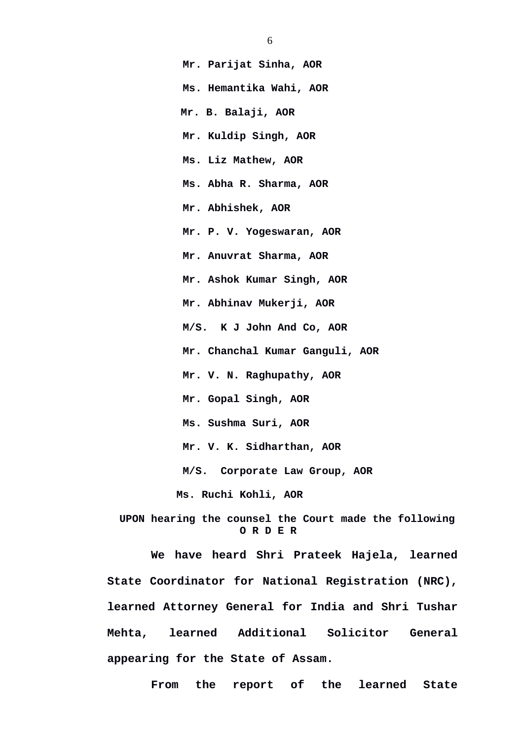**Mr. Parijat Sinha, AOR Ms. Hemantika Wahi, AOR Mr. B. Balaji, AOR Mr. Kuldip Singh, AOR Ms. Liz Mathew, AOR Ms. Abha R. Sharma, AOR Mr. Abhishek, AOR Mr. P. V. Yogeswaran, AOR Mr. Anuvrat Sharma, AOR Mr. Ashok Kumar Singh, AOR Mr. Abhinav Mukerji, AOR M/S. K J John And Co, AOR Mr. Chanchal Kumar Ganguli, AOR Mr. V. N. Raghupathy, AOR Mr. Gopal Singh, AOR Ms. Sushma Suri, AOR Mr. V. K. Sidharthan, AOR M/S. Corporate Law Group, AOR Ms. Ruchi Kohli, AOR**

 **UPON hearing the counsel the Court made the following O R D E R**

**We have heard Shri Prateek Hajela, learned State Coordinator for National Registration (NRC), learned Attorney General for India and Shri Tushar Mehta, learned Additional Solicitor General appearing for the State of Assam.** 

**From the report of the learned State**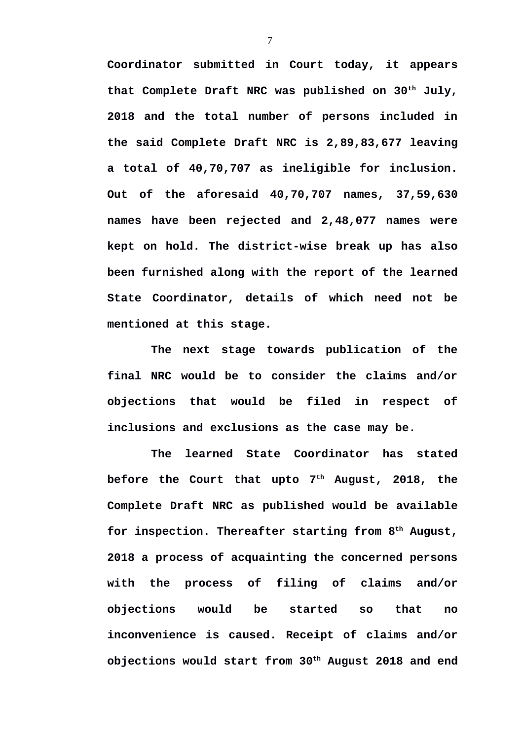**Coordinator submitted in Court today, it appears that Complete Draft NRC was published on 30th July, 2018 and the total number of persons included in the said Complete Draft NRC is 2,89,83,677 leaving a total of 40,70,707 as ineligible for inclusion. Out of the aforesaid 40,70,707 names, 37,59,630 names have been rejected and 2,48,077 names were kept on hold. The district-wise break up has also been furnished along with the report of the learned State Coordinator, details of which need not be mentioned at this stage.**

**The next stage towards publication of the final NRC would be to consider the claims and/or objections that would be filed in respect of inclusions and exclusions as the case may be.** 

**The learned State Coordinator has stated before the Court that upto 7th August, 2018, the Complete Draft NRC as published would be available for inspection. Thereafter starting from 8th August, 2018 a process of acquainting the concerned persons with the process of filing of claims and/or objections would be started so that no inconvenience is caused. Receipt of claims and/or objections would start from 30th August 2018 and end**

7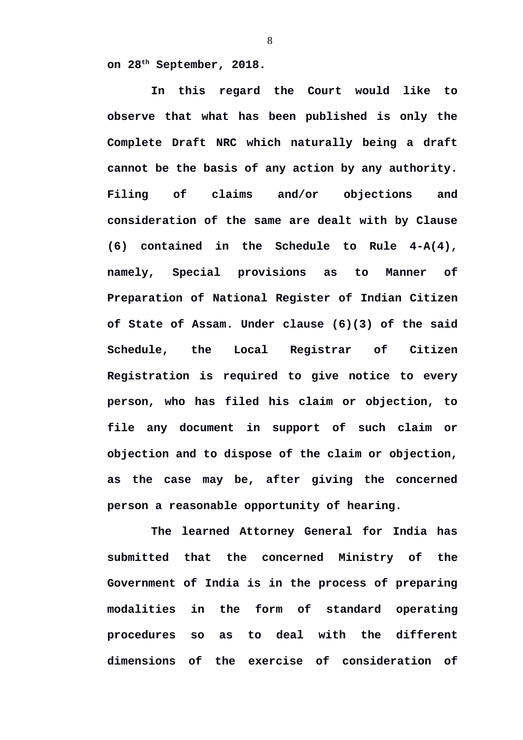**on 28th September, 2018.**

**In this regard the Court would like to observe that what has been published is only the Complete Draft NRC which naturally being a draft cannot be the basis of any action by any authority. Filing of claims and/or objections and consideration of the same are dealt with by Clause (6) contained in the Schedule to Rule 4-A(4), namely, Special provisions as to Manner of Preparation of National Register of Indian Citizen of State of Assam. Under clause (6)(3) of the said Schedule, the Local Registrar of Citizen Registration is required to give notice to every person, who has filed his claim or objection, to file any document in support of such claim or objection and to dispose of the claim or objection, as the case may be, after giving the concerned person a reasonable opportunity of hearing.**

**The learned Attorney General for India has submitted that the concerned Ministry of the Government of India is in the process of preparing modalities in the form of standard operating procedures so as to deal with the different dimensions of the exercise of consideration of**

8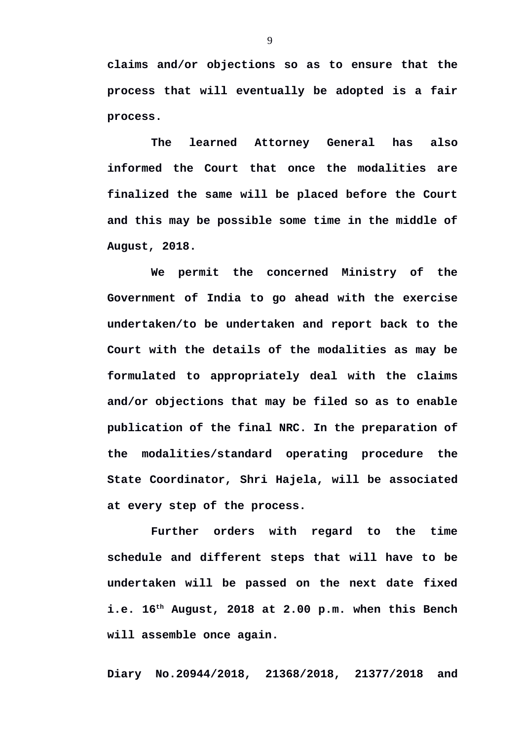**claims and/or objections so as to ensure that the process that will eventually be adopted is a fair process.** 

**The learned Attorney General has also informed the Court that once the modalities are finalized the same will be placed before the Court and this may be possible some time in the middle of August, 2018.**

**We permit the concerned Ministry of the Government of India to go ahead with the exercise undertaken/to be undertaken and report back to the Court with the details of the modalities as may be formulated to appropriately deal with the claims and/or objections that may be filed so as to enable publication of the final NRC. In the preparation of the modalities/standard operating procedure the State Coordinator, Shri Hajela, will be associated at every step of the process.**

**Further orders with regard to the time schedule and different steps that will have to be undertaken will be passed on the next date fixed i.e. 16th August, 2018 at 2.00 p.m. when this Bench will assemble once again.**

**Diary No.20944/2018, 21368/2018, 21377/2018 and**

9